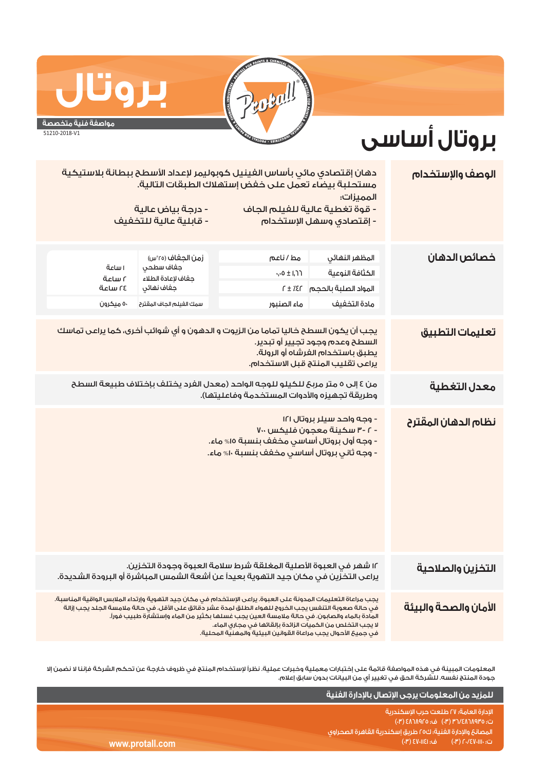

## **بروتال**

**مواصفة فنية متخصصة** 51210-2018-V1

## **بروتال أساسى**

| الوصف والإستخدام      | دهان إقتصادي مائي بأساس الفينيل كوبوليمر لإعداد الأسطح ببطانة بلاستيكية<br>مستحلبة بيضاء تعمل على خفض إستهلاك الطبقات التالية.<br>المميزات:                                                                                                                                                                                                                                                                                                           |                                                                                                        |                                        |                     |  |  |
|-----------------------|-------------------------------------------------------------------------------------------------------------------------------------------------------------------------------------------------------------------------------------------------------------------------------------------------------------------------------------------------------------------------------------------------------------------------------------------------------|--------------------------------------------------------------------------------------------------------|----------------------------------------|---------------------|--|--|
|                       | - درجة بياض عالية<br>- قوة تغطية عالية للفيلم الجاف<br><mark>- قابلية عالية للتخفيف</mark><br>- إقتصادى وسهل الإستخدام                                                                                                                                                                                                                                                                                                                                |                                                                                                        |                                        |                     |  |  |
| خصائص الدهان          | المظهر النهائي                                                                                                                                                                                                                                                                                                                                                                                                                                        | مط / ناعم                                                                                              | زمن الجغاف (٢٥°س)<br>جفاف سطحي         |                     |  |  |
|                       | الكثافة النوعية                                                                                                                                                                                                                                                                                                                                                                                                                                       | ۰٫۰۵ ± ۱٫ <mark>۱</mark>                                                                               | جفاف لإعادة الطلاء                     | ا ساعة<br>آ ساعة    |  |  |
|                       | المواد الصلبة بالحجم    f ± ٪£r<br>مادة التخفيف                                                                                                                                                                                                                                                                                                                                                                                                       | ماء الصنبور                                                                                            | جفاف نهائى<br>سمك الغيلم الجاف المقترح | ة ساعة<br>٥٠ ميکرون |  |  |
|                       |                                                                                                                                                                                                                                                                                                                                                                                                                                                       |                                                                                                        |                                        |                     |  |  |
| تعليمات التطبيق       | يجب أن يكون السطح خاليا تماما من الزيوت و الدهون و أي شوائب أخرى، كما يراعى تماسك<br>السطح وعدم وجود تجيير أو تبدير.<br>يطبق باستخدام الفرشاه أو الرولة.<br>يراعى تقليب المنتج قبل الاستخدام.                                                                                                                                                                                                                                                         |                                                                                                        |                                        |                     |  |  |
| معدل التغطية          | من ٤ إلى ٥ متر مربحَ للكيلو للوجه الواحد (معدل الفرد يختلف بإختلاف طبيعة السطح<br>وطريقة تجهيزه والأدوات المستخدمة وفاعليتها).                                                                                                                                                                                                                                                                                                                        |                                                                                                        |                                        |                     |  |  |
| نظام الدهان المقترح   | - وجه واحد سيلر بروتال ١٢١<br>- ٢ -٣ سكينة معجون فليكس ٣٠                                                                                                                                                                                                                                                                                                                                                                                             | <mark>- وجه أول بروتال أساسي مخفف بنسبة ١٥% ماء.</mark><br>- وجه ثاني بروتال أساسي مخفف بنسبة ١٠% ماء. |                                        |                     |  |  |
| التخزين والصلاحية     | ١٢ شهر في العبوة الأصلية المغلقة شرط سلامة العبوة وجودة التخزين.<br>يراعى التخزين في مكان جيد التهوية بعيداً عن أشعة الشمس المباشرة أو البرودة الشديدة.                                                                                                                                                                                                                                                                                               |                                                                                                        |                                        |                     |  |  |
| الأمان والصحة والبيئة | يجب مراعاة التعليمات المدونة على العبوة. يراعى الإستخدام في مكان جيد التهوية وإرتداء الملابس الواقية المناسبة.<br>فى حالة صعوبة التنفس يجب الخروج للهواء الطلق لمدة عشر دقائق على الأقل. فى حالة ملامسة الجلد يجب إزالة<br>المادة بالماء والصابون. فى حالة ملامسة العين يجب غسلها بكثير من الماء وإستشارة طبيب فوراً.<br>لا يجب التخلص من الكميات الزائدة بإلقائها فى مجارى الماء.<br>في حميــ6 الأحوال بحب مراعاة القوانين البيئية والمهنية المحلية. |                                                                                                        |                                        |                     |  |  |

المعلومات المبينة في هذه المواصفة قائمة على إختبارات معملية وخبرات عملية. نظراً لإستخدام المنتج في ظروف خارجة عن تحكم الشركة فإننا لا نضمن إلا جودة المنتج نفسه. للشركة الحق في تغيير أي من البيانات بدون سابق إعلام.

www.protall

|     | للمزيد من المعلومات يرجى الإتصال بالإدارة الفنية ا          |
|-----|-------------------------------------------------------------|
|     | الادارة العامة؛ ٢٧ طلعت حرب الاسكندرية ر                    |
|     | ت؛ ٣٦/٤٨٦٨٩٣٥ (٣٠)   ف؛ ٤٨٦٨٩٢٥ (٣٠) <sub>ا</sub>           |
|     | المصانة والإدارة الفنية؛ ك٥٥ طريق إسكندرية القاهرة الصحراوي |
| com | ت: ۲۰/٤٧٠١١١٠) هـ: ۱٤١١٠١٤١ (۳٠)                            |